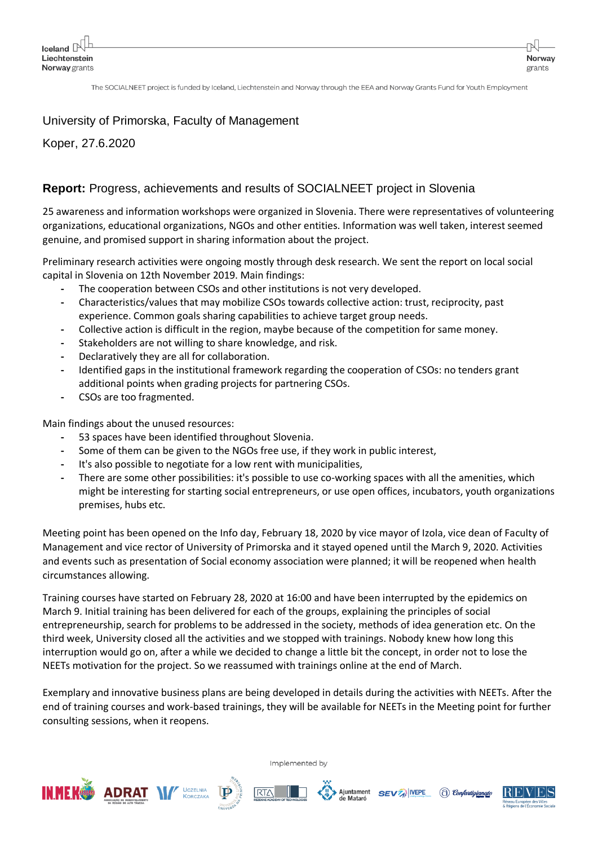The SOCIALNEET project is funded by Iceland, Liechtenstein and Norway through the EEA and Norway Grants Fund for Youth Employment

## University of Primorska, Faculty of Management

Koper, 27.6.2020

## **Report:** Progress, achievements and results of SOCIALNEET project in Slovenia

25 awareness and information workshops were organized in Slovenia. There were representatives of volunteering organizations, educational organizations, NGOs and other entities. Information was well taken, interest seemed genuine, and promised support in sharing information about the project.

Preliminary research activities were ongoing mostly through desk research. We sent the report on local social capital in Slovenia on 12th November 2019. Main findings:

- **-** The cooperation between CSOs and other institutions is not very developed.
- **-** Characteristics/values that may mobilize CSOs towards collective action: trust, reciprocity, past experience. Common goals sharing capabilities to achieve target group needs.
- **-** Collective action is difficult in the region, maybe because of the competition for same money.
- **-** Stakeholders are not willing to share knowledge, and risk.
- **-** Declaratively they are all for collaboration.
- **-** Identified gaps in the institutional framework regarding the cooperation of CSOs: no tenders grant additional points when grading projects for partnering CSOs.
- **-** CSOs are too fragmented.

Main findings about the unused resources:

- **-** 53 spaces have been identified throughout Slovenia.
- **-** Some of them can be given to the NGOs free use, if they work in public interest,
- **-** It's also possible to negotiate for a low rent with municipalities,
- **-** There are some other possibilities: it's possible to use co-working spaces with all the amenities, which might be interesting for starting social entrepreneurs, or use open offices, incubators, youth organizations premises, hubs etc.

Meeting point has been opened on the Info day, February 18, 2020 by vice mayor of Izola, vice dean of Faculty of Management and vice rector of University of Primorska and it stayed opened until the March 9, 2020. Activities and events such as presentation of Social economy association were planned; it will be reopened when health circumstances allowing.

Training courses have started on February 28, 2020 at 16:00 and have been interrupted by the epidemics on March 9. Initial training has been delivered for each of the groups, explaining the principles of social entrepreneurship, search for problems to be addressed in the society, methods of idea generation etc. On the third week, University closed all the activities and we stopped with trainings. Nobody knew how long this interruption would go on, after a while we decided to change a little bit the concept, in order not to lose the NEETs motivation for the project. So we reassumed with trainings online at the end of March.

Exemplary and innovative business plans are being developed in details during the activities with NEETs. After the end of training courses and work-based trainings, they will be available for NEETs in the Meeting point for further consulting sessions, when it reopens.











Norway

grants